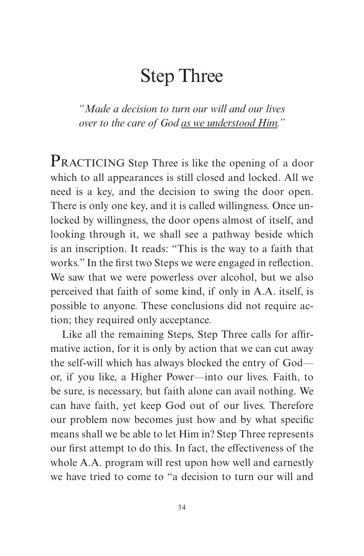## Step Three

*"Made a decision to turn our will and our lives over to the care of God as we understood Him."*

PRACTICING Step Three is like the opening of a door which to all appearances is still closed and locked. All we need is a key, and the decision to swing the door open. There is only one key, and it is called willingness. Once unlocked by willingness, the door opens almost of itself, and looking through it, we shall see a pathway beside which is an inscription. It reads: "This is the way to a faith that works." In the first two Steps we were engaged in reflection. We saw that we were powerless over alcohol, but we also perceived that faith of some kind, if only in A.A. itself, is possible to anyone. These conclusions did not require action; they required only acceptance.

Like all the remaining Steps, Step Three calls for affirmative action, for it is only by action that we can cut away the self-will which has always blocked the entry of God or, if you like, a Higher Power—into our lives. Faith, to be sure, is necessary, but faith alone can avail nothing. We can have faith, yet keep God out of our lives. Therefore our problem now becomes just how and by what specific means shall we be able to let Him in? Step Three represents our first attempt to do this. In fact, the effectiveness of the whole A.A. program will rest upon how well and earnestly we have tried to come to "a decision to turn our will and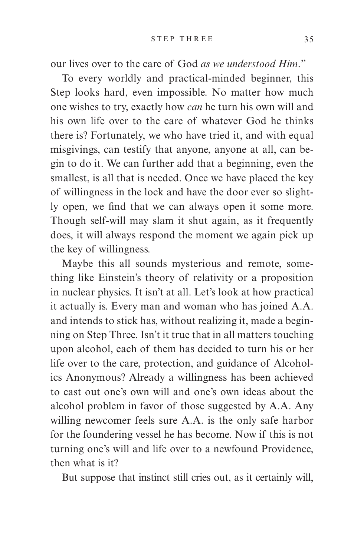our lives over to the care of God *as we understood Him*."

To every worldly and practical-minded beginner, this Step looks hard, even impossible. No matter how much one wishes to try, exactly how *can* he turn his own will and his own life over to the care of whatever God he thinks there is? Fortunately, we who have tried it, and with equal misgivings, can testify that anyone, anyone at all, can begin to do it. We can further add that a beginning, even the smallest, is all that is needed. Once we have placed the key of willingness in the lock and have the door ever so slightly open, we find that we can always open it some more. Though self-will may slam it shut again, as it frequently does, it will always respond the moment we again pick up the key of willingness.

Maybe this all sounds mysterious and remote, something like Einstein's theory of relativity or a proposition in nuclear physics. It isn't at all. Let's look at how practical it actually is. Every man and woman who has joined A.A. and intends to stick has, without realizing it, made a beginning on Step Three. Isn't it true that in all matters touching upon alcohol, each of them has decided to turn his or her life over to the care, protection, and guidance of Alcoholics Anonymous? Already a willingness has been achieved to cast out one's own will and one's own ideas about the alcohol problem in favor of those suggested by A.A. Any willing newcomer feels sure A.A. is the only safe harbor for the foundering vessel he has become. Now if this is not turning one's will and life over to a newfound Providence, then what is it?

But suppose that instinct still cries out, as it certainly will,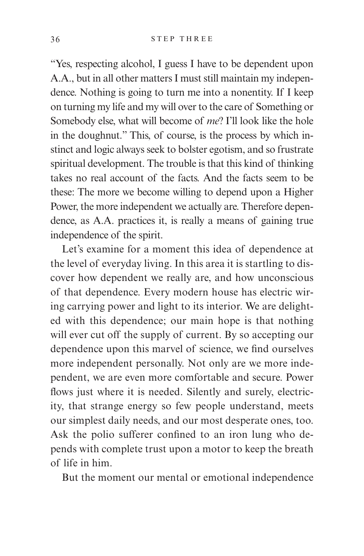"Yes, respecting alcohol, I guess I have to be dependent upon A.A., but in all other matters I must still maintain my independence. Nothing is going to turn me into a nonentity. If I keep on turning my life and my will over to the care of Something or Somebody else, what will become of *me*? I'll look like the hole in the doughnut." This, of course, is the process by which instinct and logic always seek to bolster egotism, and so frustrate spiritual development. The trouble is that this kind of thinking takes no real account of the facts. And the facts seem to be these: The more we become willing to depend upon a Higher Power, the more independent we actually are. Therefore dependence, as A.A. practices it, is really a means of gaining true independence of the spirit.

Let's examine for a moment this idea of dependence at the level of everyday living. In this area it is startling to discover how dependent we really are, and how unconscious of that dependence. Every modern house has electric wiring carrying power and light to its interior. We are delighted with this dependence; our main hope is that nothing will ever cut off the supply of current. By so accepting our dependence upon this marvel of science, we find ourselves more independent personally. Not only are we more independent, we are even more comfortable and secure. Power flows just where it is needed. Silently and surely, electricity, that strange energy so few people understand, meets our simplest daily needs, and our most desperate ones, too. Ask the polio sufferer confined to an iron lung who depends with complete trust upon a motor to keep the breath of life in him.

But the moment our mental or emotional independence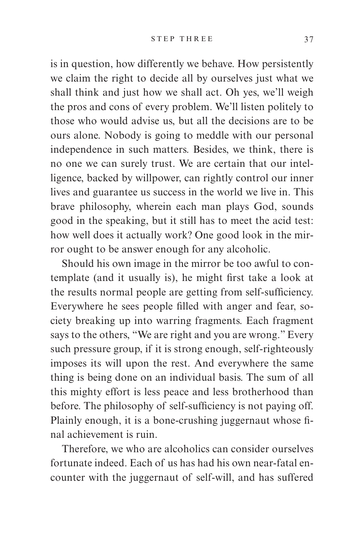is in question, how differently we behave. How persistently we claim the right to decide all by ourselves just what we shall think and just how we shall act. Oh yes, we'll weigh the pros and cons of every problem. We'll listen politely to those who would advise us, but all the decisions are to be ours alone. Nobody is going to meddle with our personal independence in such matters. Besides, we think, there is no one we can surely trust. We are certain that our intelligence, backed by willpower, can rightly control our inner lives and guarantee us success in the world we live in. This brave philosophy, wherein each man plays God, sounds good in the speaking, but it still has to meet the acid test: how well does it actually work? One good look in the mirror ought to be answer enough for any alcoholic.

Should his own image in the mirror be too awful to contemplate (and it usually is), he might first take a look at the results normal people are getting from self-sufficiency. Everywhere he sees people filled with anger and fear, society breaking up into warring fragments. Each fragment says to the others, "We are right and you are wrong." Every such pressure group, if it is strong enough, self-righteously imposes its will upon the rest. And everywhere the same thing is being done on an individual basis. The sum of all this mighty effort is less peace and less brotherhood than before. The philosophy of self-sufficiency is not paying off. Plainly enough, it is a bone-crushing juggernaut whose final achievement is ruin.

Therefore, we who are alcoholics can consider ourselves fortunate indeed. Each of us has had his own near-fatal encounter with the juggernaut of self-will, and has suffered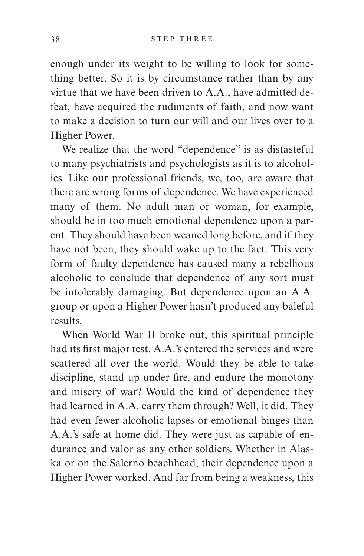enough under its weight to be willing to look for something better. So it is by circumstance rather than by any virtue that we have been driven to A.A., have admitted defeat, have acquired the rudiments of faith, and now want to make a decision to turn our will and our lives over to a Higher Power.

We realize that the word "dependence" is as distasteful to many psychiatrists and psychologists as it is to alcoholics. Like our professional friends, we, too, are aware that there are wrong forms of dependence. We have experienced many of them. No adult man or woman, for example, should be in too much emotional dependence upon a parent. They should have been weaned long before, and if they have not been, they should wake up to the fact. This very form of faulty dependence has caused many a rebellious alcoholic to conclude that dependence of any sort must be intolerably damaging. But dependence upon an A.A. group or upon a Higher Power hasn't produced any baleful results.

When World War II broke out, this spiritual principle had its first major test. A.A.'s entered the services and were scattered all over the world. Would they be able to take discipline, stand up under fire, and endure the monotony and misery of war? Would the kind of dependence they had learned in A.A. carry them through? Well, it did. They had even fewer alcoholic lapses or emotional binges than A.A.'s safe at home did. They were just as capable of endurance and valor as any other soldiers. Whether in Alaska or on the Salerno beachhead, their dependence upon a Higher Power worked. And far from being a weakness, this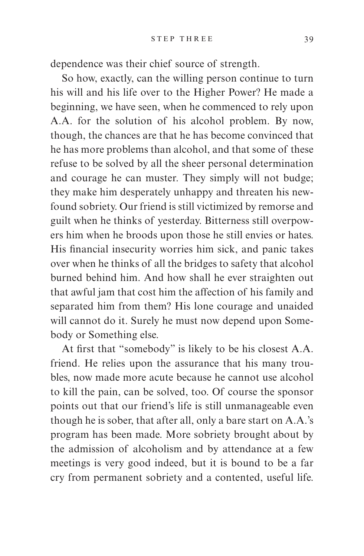dependence was their chief source of strength.

So how, exactly, can the willing person continue to turn his will and his life over to the Higher Power? He made a beginning, we have seen, when he commenced to rely upon A.A. for the solution of his alcohol problem. By now, though, the chances are that he has become convinced that he has more problems than alcohol, and that some of these refuse to be solved by all the sheer personal determination and courage he can muster. They simply will not budge; they make him desperately unhappy and threaten his newfound sobriety. Our friend is still victimized by remorse and guilt when he thinks of yesterday. Bitterness still overpowers him when he broods upon those he still envies or hates. His financial insecurity worries him sick, and panic takes over when he thinks of all the bridges to safety that alcohol burned behind him. And how shall he ever straighten out that awful jam that cost him the affection of his family and separated him from them? His lone courage and unaided will cannot do it. Surely he must now depend upon Somebody or Something else.

At first that "somebody" is likely to be his closest A.A. friend. He relies upon the assurance that his many troubles, now made more acute because he cannot use alcohol to kill the pain, can be solved, too. Of course the sponsor points out that our friend's life is still unmanageable even though he is sober, that after all, only a bare start on A.A.'s program has been made. More sobriety brought about by the admission of alcoholism and by attendance at a few meetings is very good indeed, but it is bound to be a far cry from permanent sobriety and a contented, useful life.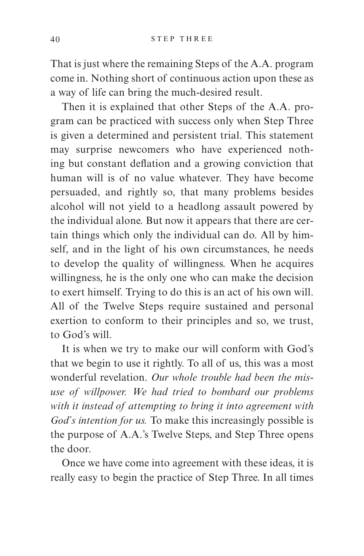That is just where the remaining Steps of the A.A. program come in. Nothing short of continuous action upon these as a way of life can bring the much-desired result.

Then it is explained that other Steps of the A.A. program can be practiced with success only when Step Three is given a determined and persistent trial. This statement may surprise newcomers who have experienced nothing but constant deflation and a growing conviction that human will is of no value whatever. They have become persuaded, and rightly so, that many problems besides alcohol will not yield to a headlong assault powered by the individual alone. But now it appears that there are certain things which only the individual can do. All by himself, and in the light of his own circumstances, he needs to develop the quality of willingness. When he acquires willingness, he is the only one who can make the decision to exert himself. Trying to do this is an act of his own will. All of the Twelve Steps require sustained and personal exertion to conform to their principles and so, we trust, to God's will.

It is when we try to make our will conform with God's that we begin to use it rightly. To all of us, this was a most wonderful revelation. *Our whole trouble had been the misuse of willpower. We had tried to bombard our problems with it instead of attempting to bring it into agreement with God's intention for us.* To make this increasingly possible is the purpose of A.A.'s Twelve Steps, and Step Three opens the door.

Once we have come into agreement with these ideas, it is really easy to begin the practice of Step Three. In all times